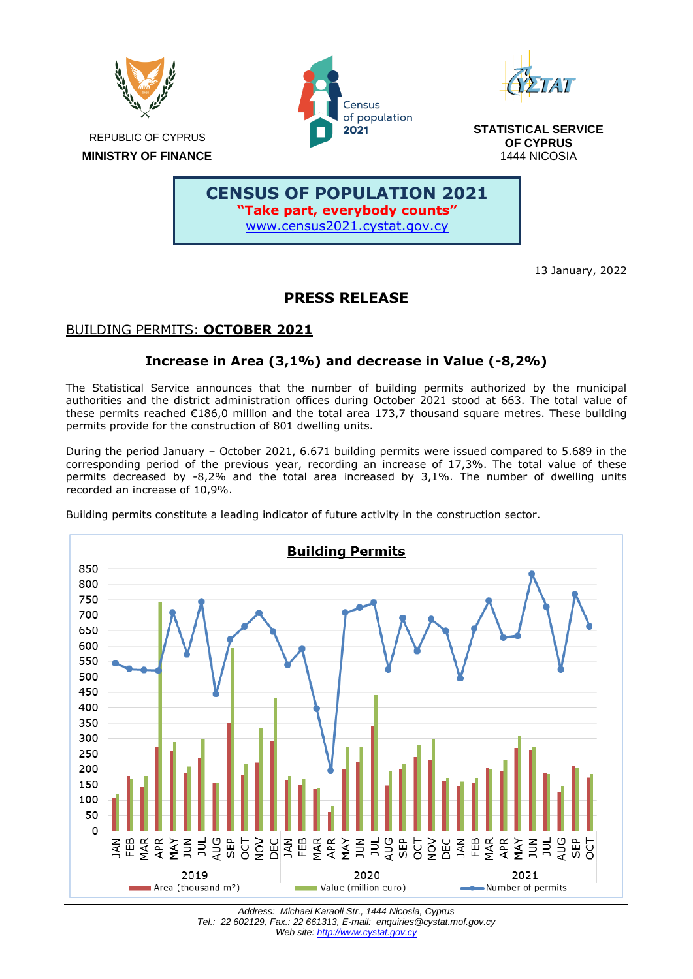

Census of population 2021



**STATISTICAL SERVICE OF CYPRUS** 1444 NICOSIA

 **MINISTRY OF FINANCE**

# **CENSUS OF POPULATION 2021 "Take part, everybody counts"** [www.census2021.cystat.gov.cy](https://www.census2021.cystat.gov.cy/en)

13 January, 2022

# **PRESS RELEASE**

## BUILDING PERMITS: **OCTOBER 2021**

## **Increase in Area (3,1%) and decrease in Value (-8,2%)**

The Statistical Service announces that the number of building permits authorized by the municipal authorities and the district administration offices during October 2021 stood at 663. The total value of these permits reached €186,0 million and the total area 173,7 thousand square metres. These building permits provide for the construction of 801 dwelling units.

During the period January – October 2021, 6.671 building permits were issued compared to 5.689 in the corresponding period of the previous year, recording an increase of 17,3%. The total value of these permits decreased by -8,2% and the total area increased by 3,1%. The number of dwelling units recorded an increase of 10,9%.

Building permits constitute a leading indicator of future activity in the construction sector.



*Address: Michael Karaoli Str., 1444 Nicosia, Cyprus Tel.: 22 602129, Fax.: 22 661313, E-mail: enquiries@cystat.mof.gov.cy Web site[: http://www.cystat.gov.cy](http://www.cystat.gov.cy/)*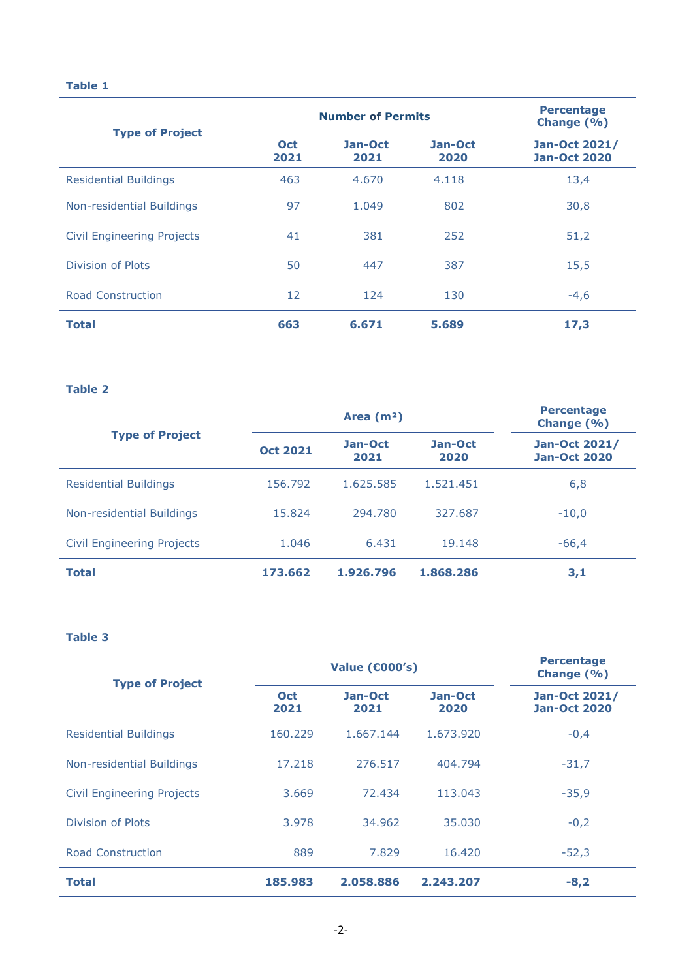### **Table 1**

| <b>Type of Project</b>            | <b>Number of Permits</b> |                 |                 | <b>Percentage</b><br>Change (%)             |
|-----------------------------------|--------------------------|-----------------|-----------------|---------------------------------------------|
|                                   | <b>Oct</b><br>2021       | Jan-Oct<br>2021 | Jan-Oct<br>2020 | <b>Jan-Oct 2021/</b><br><b>Jan-Oct 2020</b> |
| <b>Residential Buildings</b>      | 463                      | 4.670           | 4.118           | 13,4                                        |
| Non-residential Buildings         | 97                       | 1.049           | 802             | 30,8                                        |
| <b>Civil Engineering Projects</b> | 41                       | 381             | 252             | 51,2                                        |
| Division of Plots                 | 50                       | 447             | 387             | 15,5                                        |
| <b>Road Construction</b>          | 12                       | 124             | 130             | $-4,6$                                      |
| <b>Total</b>                      | 663                      | 6.671           | 5.689           | 17,3                                        |

#### **Table 2**

| <b>Type of Project</b>            | Area $(m2)$     |                 |                 | <b>Percentage</b><br>Change (%)      |
|-----------------------------------|-----------------|-----------------|-----------------|--------------------------------------|
|                                   | <b>Oct 2021</b> | Jan-Oct<br>2021 | Jan-Oct<br>2020 | Jan-Oct 2021/<br><b>Jan-Oct 2020</b> |
| <b>Residential Buildings</b>      | 156.792         | 1.625.585       | 1.521.451       | 6,8                                  |
| Non-residential Buildings         | 15.824          | 294.780         | 327.687         | $-10,0$                              |
| <b>Civil Engineering Projects</b> | 1.046           | 6.431           | 19.148          | $-66,4$                              |
| <b>Total</b>                      | 173.662         | 1.926.796       | 1.868.286       | 3,1                                  |

#### **Table 3**

| <b>Type of Project</b>            | <b>Value (€000's)</b> |                 |                 | <b>Percentage</b><br>Change (%)             |
|-----------------------------------|-----------------------|-----------------|-----------------|---------------------------------------------|
|                                   | <b>Oct</b><br>2021    | Jan-Oct<br>2021 | Jan-Oct<br>2020 | <b>Jan-Oct 2021/</b><br><b>Jan-Oct 2020</b> |
| <b>Residential Buildings</b>      | 160.229               | 1.667.144       | 1.673.920       | $-0,4$                                      |
| Non-residential Buildings         | 17.218                | 276.517         | 404.794         | $-31,7$                                     |
| <b>Civil Engineering Projects</b> | 3.669                 | 72.434          | 113.043         | $-35,9$                                     |
| Division of Plots                 | 3.978                 | 34.962          | 35.030          | $-0,2$                                      |
| Road Construction                 | 889                   | 7.829           | 16.420          | $-52,3$                                     |
| <b>Total</b>                      | 185.983               | 2.058.886       | 2.243.207       | $-8,2$                                      |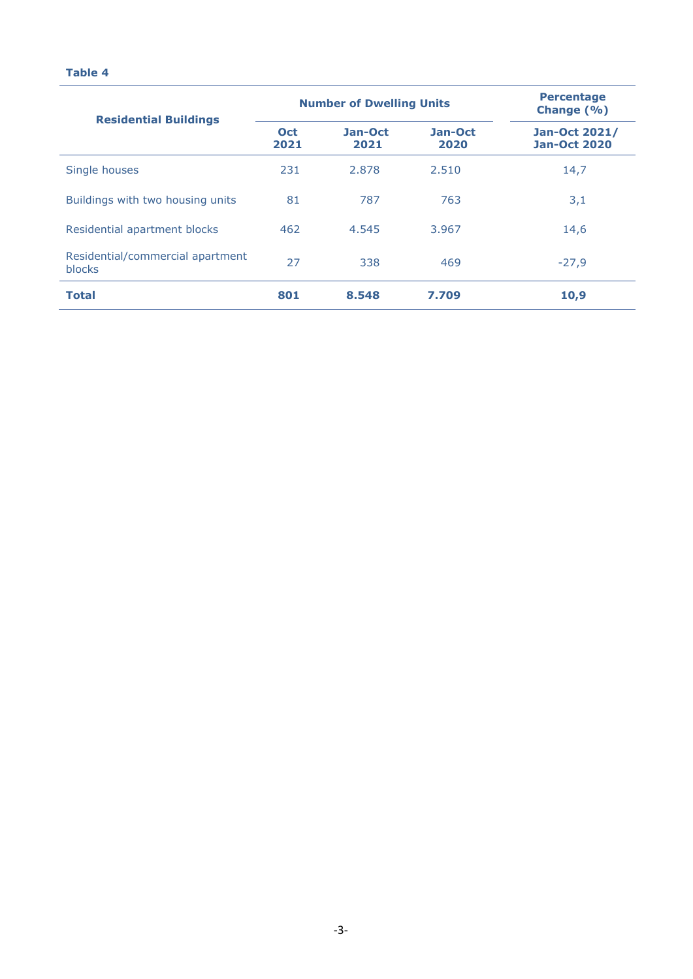#### **Table 4**

| <b>Residential Buildings</b>                      | <b>Number of Dwelling Units</b> |                 |                 | <b>Percentage</b><br>Change $(\% )$  |
|---------------------------------------------------|---------------------------------|-----------------|-----------------|--------------------------------------|
|                                                   | <b>Oct</b><br>2021              | Jan-Oct<br>2021 | Jan-Oct<br>2020 | Jan-Oct 2021/<br><b>Jan-Oct 2020</b> |
| Single houses                                     | 231                             | 2.878           | 2.510           | 14,7                                 |
| Buildings with two housing units                  | 81                              | 787             | 763             | 3,1                                  |
| Residential apartment blocks                      | 462                             | 4.545           | 3.967           | 14,6                                 |
| Residential/commercial apartment<br><b>blocks</b> | 27                              | 338             | 469             | $-27,9$                              |
| <b>Total</b>                                      | 801                             | 8.548           | 7.709           | 10,9                                 |